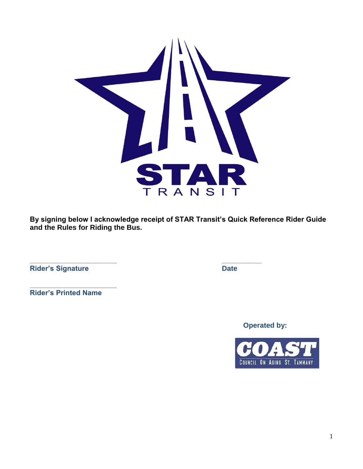

**By signing below I acknowledge receipt of STAR Transit's Quick Reference Rider Guide and the Rules for Riding the Bus.**

**\_\_\_\_\_\_\_\_\_\_\_\_\_\_\_\_\_\_\_\_\_\_ \_\_\_\_\_\_\_\_\_\_**

**Rider's Signature Date** 

**\_\_\_\_\_\_\_\_\_\_\_\_\_\_\_\_\_\_\_\_\_\_ Rider's Printed Name**

**Operated by:**

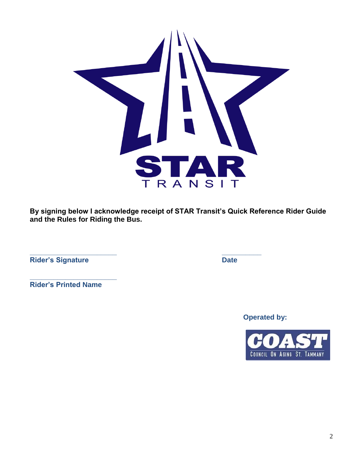

**By signing below I acknowledge receipt of STAR Transit's Quick Reference Rider Guide and the Rules for Riding the Bus.**

**\_\_\_\_\_\_\_\_\_\_\_\_\_\_\_\_\_\_\_\_\_\_ \_\_\_\_\_\_\_\_\_\_**

**Rider's Signature Date** 

**\_\_\_\_\_\_\_\_\_\_\_\_\_\_\_\_\_\_\_\_\_\_ Rider's Printed Name**

**Operated by:**

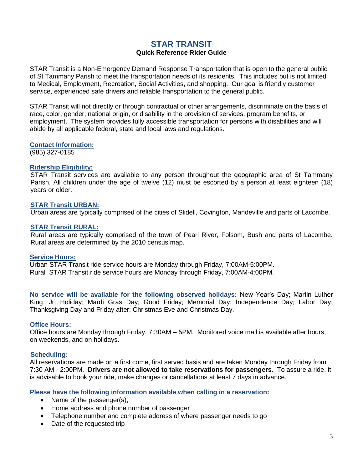# **STAR TRANSIT**

## **Quick Reference Rider Guide**

STAR Transit is a Non-Emergency Demand Response Transportation that is open to the general public of St Tammany Parish to meet the transportation needs of its residents. This includes but is not limited to Medical, Employment, Recreation, Social Activities, and shopping. Our goal is friendly customer service, experienced safe drivers and reliable transportation to the general public.

STAR Transit will not directly or through contractual or other arrangements, discriminate on the basis of race, color, gender, national origin, or disability in the provision of services, program benefits, or employment. The system provides fully accessible transportation for persons with disabilities and will abide by all applicable federal, state and local laws and regulations.

#### **Contact Information:**

(985) 327-0185

#### **Ridership Eligibility:**

STAR Transit services are available to any person throughout the geographic area of St Tammany Parish. All children under the age of twelve (12) must be escorted by a person at least eighteen (18) years or older.

#### **STAR Transit URBAN:**

Urban areas are typically comprised of the cities of Slidell, Covington, Mandeville and parts of Lacombe.

#### **STAR Transit RURAL:**

Rural areas are typically comprised of the town of Pearl River, Folsom, Bush and parts of Lacombe. Rural areas are determined by the 2010 census map.

#### **Service Hours:**

Urban STAR Transit ride service hours are Monday through Friday, 7:00AM-5:00PM. Rural STAR Transit ride service hours are Monday through Friday, 7:00AM-4:00PM.

**No service will be available for the following observed holidays:** New Year's Day; Martin Luther King, Jr. Holiday; Mardi Gras Day; Good Friday; Memorial Day; Independence Day; Labor Day; Thanksgiving Day and Friday after; Christmas Eve and Christmas Day.

#### **Office Hours:**

Office hours are Monday through Friday, 7:30AM – 5PM. Monitored voice mail is available after hours, on weekends, and on holidays.

## **Scheduling:**

All reservations are made on a first come, first served basis and are taken Monday through Friday from 7:30 AM - 2:00PM. **Drivers are not allowed to take reservations for passengers.** To assure a ride, it is advisable to book your ride, make changes or cancellations at least 7 days in advance.

## **Please have the following information available when calling in a reservation:**

- Name of the passenger(s);
- Home address and phone number of passenger
- Telephone number and complete address of where passenger needs to go
- Date of the requested trip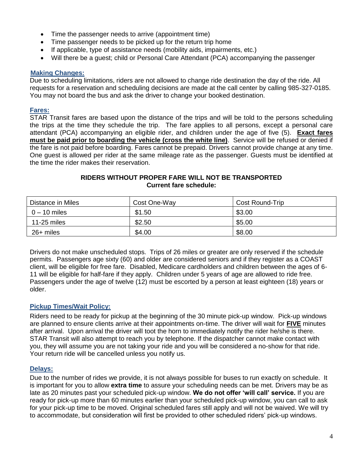- Time the passenger needs to arrive (appointment time)
- Time passenger needs to be picked up for the return trip home
- If applicable, type of assistance needs (mobility aids, impairments, etc.)
- Will there be a guest; child or Personal Care Attendant (PCA) accompanying the passenger

## **Making Changes:**

Due to scheduling limitations, riders are not allowed to change ride destination the day of the ride. All requests for a reservation and scheduling decisions are made at the call center by calling 985-327-0185. You may not board the bus and ask the driver to change your booked destination.

#### **Fares:**

STAR Transit fares are based upon the distance of the trips and will be told to the persons scheduling the trips at the time they schedule the trip. The fare applies to all persons, except a personal care attendant (PCA) accompanying an eligible rider, and children under the age of five (5). **Exact fares must be paid prior to boarding the vehicle (cross the white line)**. Service will be refused or denied if the fare is not paid before boarding. Fares cannot be prepaid. Drivers cannot provide change at any time. One guest is allowed per rider at the same mileage rate as the passenger. Guests must be identified at the time the rider makes their reservation.

## **RIDERS WITHOUT PROPER FARE WILL NOT BE TRANSPORTED Current fare schedule:**

| Distance in Miles | Cost One-Way | <b>Cost Round-Trip</b> |
|-------------------|--------------|------------------------|
| $0 - 10$ miles    | \$1.50       | \$3.00                 |
| 11-25 miles       | \$2.50       | \$5.00                 |
| 26+ miles         | \$4.00       | \$8.00                 |

Drivers do not make unscheduled stops. Trips of 26 miles or greater are only reserved if the schedule permits. Passengers age sixty (60) and older are considered seniors and if they register as a COAST client, will be eligible for free fare. Disabled, Medicare cardholders and children between the ages of 6- 11 will be eligible for half-fare if they apply. Children under 5 years of age are allowed to ride free. Passengers under the age of twelve (12) must be escorted by a person at least eighteen (18) years or older.

## **Pickup Times/Wait Policy:**

Riders need to be ready for pickup at the beginning of the 30 minute pick-up window. Pick-up windows are planned to ensure clients arrive at their appointments on-time. The driver will wait for **FIVE** minutes after arrival. Upon arrival the driver will toot the horn to immediately notify the rider he/she is there. STAR Transit will also attempt to reach you by telephone. If the dispatcher cannot make contact with you, they will assume you are not taking your ride and you will be considered a no-show for that ride. Your return ride will be cancelled unless you notify us.

## **Delays:**

Due to the number of rides we provide, it is not always possible for buses to run exactly on schedule. It is important for you to allow **extra time** to assure your scheduling needs can be met. Drivers may be as late as 20 minutes past your scheduled pick-up window. **We do not offer 'will call' service.** If you are ready for pick-up more than 60 minutes earlier than your scheduled pick-up window, you can call to ask for your pick-up time to be moved. Original scheduled fares still apply and will not be waived. We will try to accommodate, but consideration will first be provided to other scheduled riders' pick-up windows.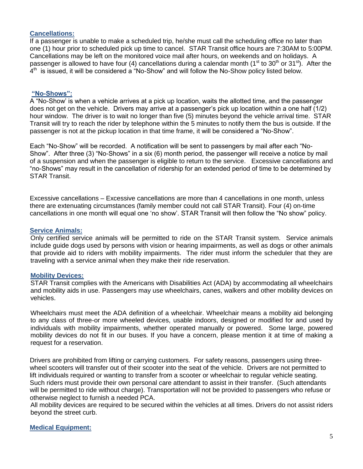### **Cancellations:**

If a passenger is unable to make a scheduled trip, he/she must call the scheduling office no later than one (1) hour prior to scheduled pick up time to cancel. STAR Transit office hours are 7:30AM to 5:00PM. Cancellations may be left on the monitored voice mail after hours, on weekends and on holidays. A passenger is allowed to have four (4) cancellations during a calendar month (1<sup>st</sup> to 30<sup>th</sup> or 31<sup>st</sup>). After the  $4<sup>th</sup>$  is issued, it will be considered a "No-Show" and will follow the No-Show policy listed below.

#### **"No-Shows":**

A "No-Show' is when a vehicle arrives at a pick up location, waits the allotted time, and the passenger does not get on the vehicle. Drivers may arrive at a passenger's pick up location within a one half (1/2) hour window. The driver is to wait no longer than five (5) minutes beyond the vehicle arrival time. STAR Transit will try to reach the rider by telephone within the 5 minutes to notify them the bus is outside. If the passenger is not at the pickup location in that time frame, it will be considered a "No-Show".

Each "No-Show" will be recorded. A notification will be sent to passengers by mail after each "No-Show". After three (3) "No-Shows" in a six (6) month period, the passenger will receive a notice by mail of a suspension and when the passenger is eligible to return to the service. Excessive cancellations and "no-Shows" may result in the cancellation of ridership for an extended period of time to be determined by STAR Transit.

Excessive cancellations – Excessive cancellations are more than 4 cancellations in one month, unless there are extenuating circumstances (family member could not call STAR Transit). Four (4) on-time cancellations in one month will equal one 'no show'. STAR Transit will then follow the "No show" policy.

#### **Service Animals:**

Only certified service animals will be permitted to ride on the STAR Transit system. Service animals include guide dogs used by persons with vision or hearing impairments, as well as dogs or other animals that provide aid to riders with mobility impairments. The rider must inform the scheduler that they are traveling with a service animal when they make their ride reservation.

#### **Mobility Devices:**

STAR Transit complies with the Americans with Disabilities Act (ADA) by accommodating all wheelchairs and mobility aids in use. Passengers may use wheelchairs, canes, walkers and other mobility devices on vehicles.

Wheelchairs must meet the ADA definition of a wheelchair. Wheelchair means a mobility aid belonging to any class of three-or more wheeled devices, usable indoors, designed or modified for and used by individuals with mobility impairments, whether operated manually or powered. Some large, powered mobility devices do not fit in our buses. If you have a concern, please mention it at time of making a request for a reservation.

Drivers are prohibited from lifting or carrying customers. For safety reasons, passengers using threewheel scooters will transfer out of their scooter into the seat of the vehicle. Drivers are not permitted to lift individuals required or wanting to transfer from a scooter or wheelchair to regular vehicle seating. Such riders must provide their own personal care attendant to assist in their transfer. (Such attendants will be permitted to ride without charge). Transportation will not be provided to passengers who refuse or otherwise neglect to furnish a needed PCA.

All mobility devices are required to be secured within the vehicles at all times. Drivers do not assist riders beyond the street curb.

## **Medical Equipment:**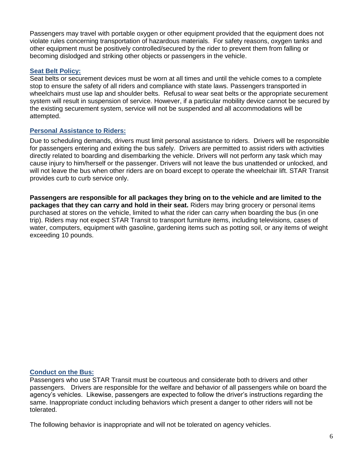Passengers may travel with portable oxygen or other equipment provided that the equipment does not violate rules concerning transportation of hazardous materials. For safety reasons, oxygen tanks and other equipment must be positively controlled/secured by the rider to prevent them from falling or becoming dislodged and striking other objects or passengers in the vehicle.

## **Seat Belt Policy:**

Seat belts or securement devices must be worn at all times and until the vehicle comes to a complete stop to ensure the safety of all riders and compliance with state laws. Passengers transported in wheelchairs must use lap and shoulder belts. Refusal to wear seat belts or the appropriate securement system will result in suspension of service. However, if a particular mobility device cannot be secured by the existing securement system, service will not be suspended and all accommodations will be attempted.

#### **Personal Assistance to Riders:**

Due to scheduling demands, drivers must limit personal assistance to riders. Drivers will be responsible for passengers entering and exiting the bus safely. Drivers are permitted to assist riders with activities directly related to boarding and disembarking the vehicle. Drivers will not perform any task which may cause injury to him/herself or the passenger. Drivers will not leave the bus unattended or unlocked, and will not leave the bus when other riders are on board except to operate the wheelchair lift. STAR Transit provides curb to curb service only.

**Passengers are responsible for all packages they bring on to the vehicle and are limited to the packages that they can carry and hold in their seat.** Riders may bring grocery or personal items purchased at stores on the vehicle, limited to what the rider can carry when boarding the bus (in one trip). Riders may not expect STAR Transit to transport furniture items, including televisions, cases of water, computers, equipment with gasoline, gardening items such as potting soil, or any items of weight exceeding 10 pounds.

#### **Conduct on the Bus:**

Passengers who use STAR Transit must be courteous and considerate both to drivers and other passengers. Drivers are responsible for the welfare and behavior of all passengers while on board the agency's vehicles. Likewise, passengers are expected to follow the driver's instructions regarding the same. Inappropriate conduct including behaviors which present a danger to other riders will not be tolerated.

The following behavior is inappropriate and will not be tolerated on agency vehicles.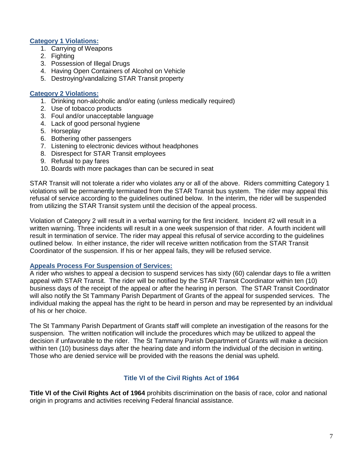## **Category 1 Violations:**

- 1. Carrying of Weapons
- 2. Fighting
- 3. Possession of Illegal Drugs
- 4. Having Open Containers of Alcohol on Vehicle
- 5. Destroying/vandalizing STAR Transit property

### **Category 2 Violations:**

- 1. Drinking non-alcoholic and/or eating (unless medically required)
- 2. Use of tobacco products
- 3. Foul and/or unacceptable language
- 4. Lack of good personal hygiene
- 5. Horseplay
- 6. Bothering other passengers
- 7. Listening to electronic devices without headphones
- 8. Disrespect for STAR Transit employees
- 9. Refusal to pay fares
- 10. Boards with more packages than can be secured in seat

STAR Transit will not tolerate a rider who violates any or all of the above. Riders committing Category 1 violations will be permanently terminated from the STAR Transit bus system. The rider may appeal this refusal of service according to the guidelines outlined below. In the interim, the rider will be suspended from utilizing the STAR Transit system until the decision of the appeal process.

Violation of Category 2 will result in a verbal warning for the first incident. Incident #2 will result in a written warning. Three incidents will result in a one week suspension of that rider. A fourth incident will result in termination of service. The rider may appeal this refusal of service according to the guidelines outlined below. In either instance, the rider will receive written notification from the STAR Transit Coordinator of the suspension. If his or her appeal fails, they will be refused service.

## **Appeals Process For Suspension of Services:**

A rider who wishes to appeal a decision to suspend services has sixty (60) calendar days to file a written appeal with STAR Transit. The rider will be notified by the STAR Transit Coordinator within ten (10) business days of the receipt of the appeal or after the hearing in person. The STAR Transit Coordinator will also notify the St Tammany Parish Department of Grants of the appeal for suspended services. The individual making the appeal has the right to be heard in person and may be represented by an individual of his or her choice.

The St Tammany Parish Department of Grants staff will complete an investigation of the reasons for the suspension. The written notification will include the procedures which may be utilized to appeal the decision if unfavorable to the rider. The St Tammany Parish Department of Grants will make a decision within ten (10) business days after the hearing date and inform the individual of the decision in writing. Those who are denied service will be provided with the reasons the denial was upheld.

## **Title VI of the Civil Rights Act of 1964**

**Title VI of the Civil Rights Act of 1964** prohibits discrimination on the basis of race, color and national origin in programs and activities receiving Federal financial assistance.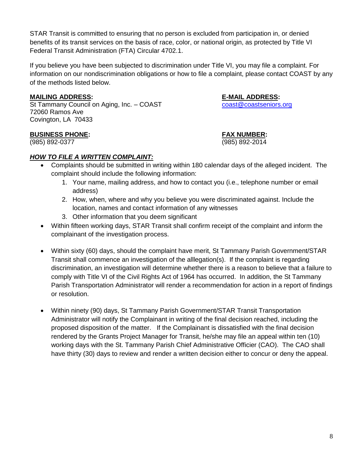STAR Transit is committed to ensuring that no person is excluded from participation in, or denied benefits of its transit services on the basis of race, color, or national origin, as protected by Title VI Federal Transit Administration (FTA) Circular 4702.1.

If you believe you have been subjected to discrimination under Title VI, you may file a complaint. For information on our nondiscrimination obligations or how to file a complaint, please contact COAST by any of the methods listed below.

## **MAILING ADDRESS: E-MAIL ADDRESS:**

St Tammany Council on Aging, Inc. – COAST [coast@coastseniors.org](mailto:coast@coastseniors.org) 72060 Ramos Ave Covington, LA 70433

## **BUSINESS PHONE: FAX NUMBER:**

(985) 892-0377 (985) 892-2014

*HOW TO FILE A WRITTEN COMPLAINT:*

- Complaints should be submitted in writing within 180 calendar days of the alleged incident. The complaint should include the following information:
	- 1. Your name, mailing address, and how to contact you (i.e., telephone number or email address)
	- 2. How, when, where and why you believe you were discriminated against. Include the location, names and contact information of any witnesses
	- 3. Other information that you deem significant
- Within fifteen working days, STAR Transit shall confirm receipt of the complaint and inform the complainant of the investigation process.
- Within sixty (60) days, should the complaint have merit, St Tammany Parish Government/STAR Transit shall commence an investigation of the alllegation(s). If the complaint is regarding discrimination, an investigation will determine whether there is a reason to believe that a failure to comply with Title VI of the Civil Rights Act of 1964 has occurred. In addition, the St Tammany Parish Transportation Administrator will render a recommendation for action in a report of findings or resolution.
- Within ninety (90) days, St Tammany Parish Government/STAR Transit Transportation Administrator will notify the Complainant in writing of the final decision reached, including the proposed disposition of the matter. If the Complainant is dissatisfied with the final decision rendered by the Grants Project Manager for Transit, he/she may file an appeal within ten (10) working days with the St. Tammany Parish Chief Administrative Officier (CAO). The CAO shall have thirty (30) days to review and render a written decision either to concur or deny the appeal.